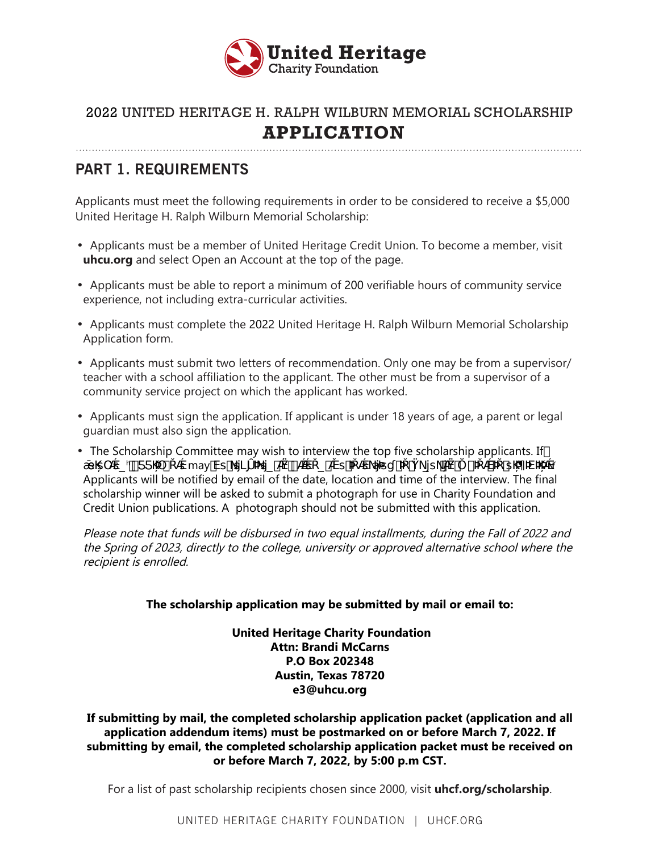

**PART 1. REQUIREMENTS**

Applicants must meet the following requirements in order to be considered to receive a \$5,000 United Heritage H. Ralph Wilburn Memorial Scholarship:

- Applicants must be a member of United Heritage Credit Union. To become a member, visit **uhcu.org** and select Open an Account at the top of the page.
- Applicants must be able to report a minimum of 200 verifiable hours of community service experience, not including extra-curricular activities.
- Applicants must complete the 2022 United Heritage H. Ralph Wilburn Memorial Scholarship Application form.
- Applicants must submit two letters of recommendation. Only one may be from a supervisor/ teacher with a school affiliation to the applicant. The other must be from a supervisor of a community service project on which the applicant has worked.
- Applicants must sign the application. If applicant is under 18 years of age, a parent or legal guardian must also sign the application.
- The Scholarship Committee may wish to interview the top five scholarship applicants. If tt`tp‴ oë smayVtt otp "tpætøt et øpt "ø"øtoĐoVox Applicants will be notified by email of the date, location and time of the interview. The final scholarship winner will be asked to submit a photograph for use in Charity Foundation and Credit Union publications. A photograph should not be submitted with this application.

Please note that funds will be disbursed in two equal installments, during the Fall of 2022 and the Spring of 2023, directly to the college, university or approved alternative school where the recipient is enrolled.

#### **The scholarship application may be submitted by mail or email to:**

 **United Heritage Charity Foundation Attn: Brandi McCarns P.O Box 202348 Austin, Texas 78720 e3@uhcu.org**

#### **If submitting by mail, the completed scholarship application packet (application and all application addendum items) must be postmarked on or before March 7, 2022. If submitting by email, the completed scholarship application packet must be received on or before March 7, 2022, by 5:00 p.m CST.**

For a list of past scholarship recipients chosen since 2000, visit **uhcf.org/scholarship**.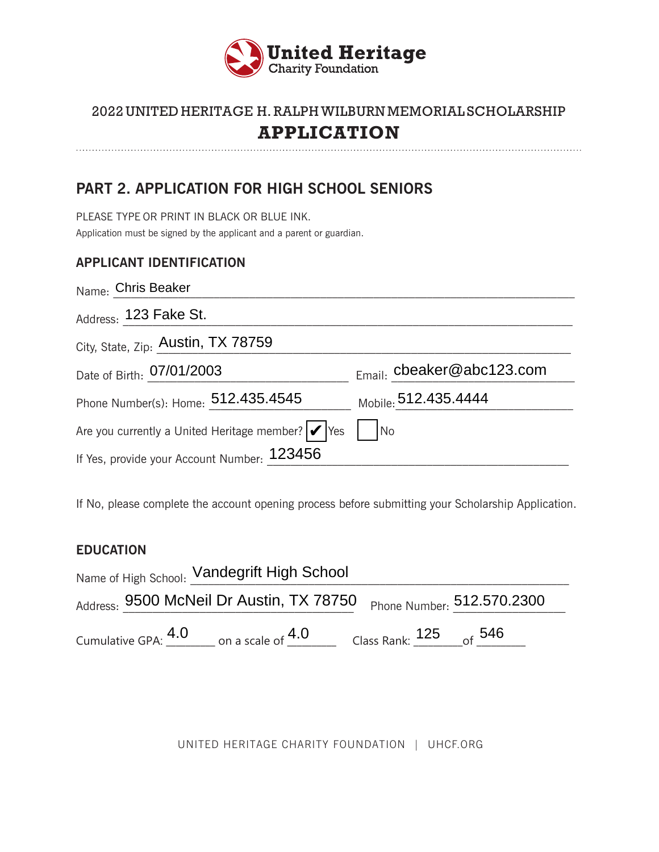

**PART 2. APPLICATION FOR HIGH SCHOOL SENIORS**

PLEASE TYPE OR PRINT IN BLACK OR BLUE INK. Application must be signed by the applicant and a parent or guardian.

### **APPLICANT IDENTIFICATION**

| Name: Chris Beaker                                               |                                |
|------------------------------------------------------------------|--------------------------------|
| Address: 123 Fake St.                                            |                                |
| City, State, Zip: Austin, TX 78759                               |                                |
| Date of Birth: 07/01/2003                                        | $_{Email:}$ cbeaker@abc123.com |
| Phone Number(s): Home: 512.435.4545                              | Mobile: 512.435.4444           |
| Are you currently a United Heritage member? $  \checkmark  $ Yes | $\overline{\mathsf{No}}$       |
| If Yes, provide your Account Number: 123456                      |                                |

If No, please complete the account opening process before submitting your Scholarship Application.

#### **EDUCATION**

| Name of High School: Vandegrift High School |                     |                                                                     |                          |  |  |
|---------------------------------------------|---------------------|---------------------------------------------------------------------|--------------------------|--|--|
|                                             |                     | Address: 9500 McNeil Dr Austin, TX 78750 Phone Number: 512.570.2300 |                          |  |  |
|                                             | Cumulative GPA: 4.0 | on a scale of $4.0\,$                                               | Class Rank: $125$ of 546 |  |  |

UNITED HERITAGE CHARITY FOUNDATION | UHCF.ORG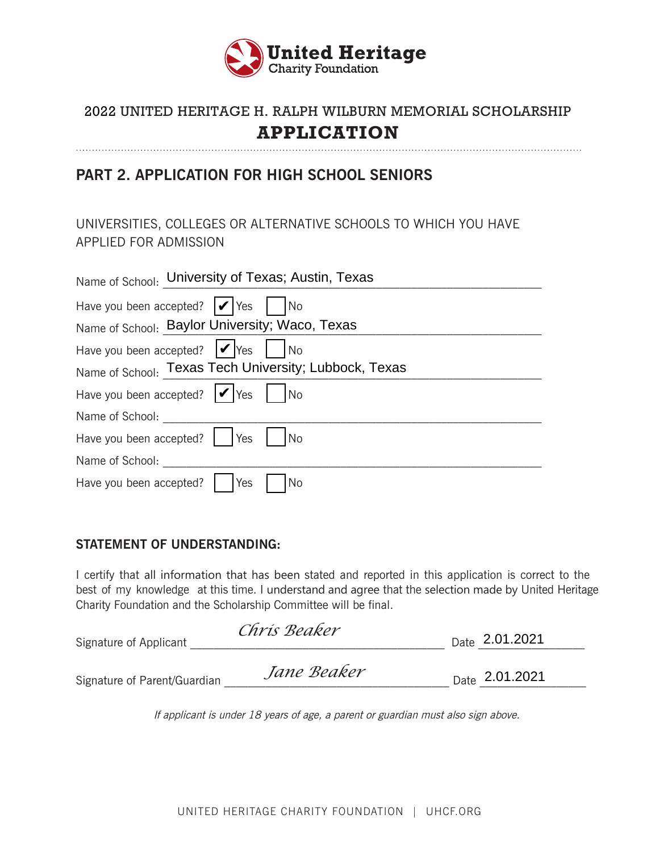

### **PART 2. APPLICATION FOR HIGH SCHOOL SENIORS**

UNIVERSITIES, COLLEGES OR ALTERNATIVE SCHOOLS TO WHICH YOU HAVE APPLIED FOR ADMISSION

| Name of School: University of Texas; Austin, Texas                                    |
|---------------------------------------------------------------------------------------|
| Have you been accepted? $  \mathcal{V}  $ Yes $  \cdot  $<br>$\overline{\mathsf{No}}$ |
| Name of School: Baylor University; Waco, Texas                                        |
| Have you been accepted? $  \mathcal{V}  $ Yes $  \mathcal{V}  $ No                    |
| Name of School: Texas Tech University; Lubbock, Texas                                 |
| Have you been accepted? $  \checkmark  $ Yes    No                                    |
| Name of School:                                                                       |
| Have you been accepted?<br><b>Yes</b><br>l No                                         |
| Name of School:                                                                       |
| Yes<br>Have you been accepted?                                                        |

#### **STATEMENT OF UNDERSTANDING:**

I certify that all information that has been stated and reported in this application is correct to the best of my knowledge at this time. I understand and agree that the selection made by United Heritage Charity Foundation and the Scholarship Committee will be final.

| Signature of Applicant       | Chris Beaker | <sub>Date</sub> 2.01.2021 |
|------------------------------|--------------|---------------------------|
| Signature of Parent/Guardian | Jane Beaker  | <sub>Date</sub> 2.01.2021 |

If applicant is under 18 years of age, a parent or guardian must also sign above.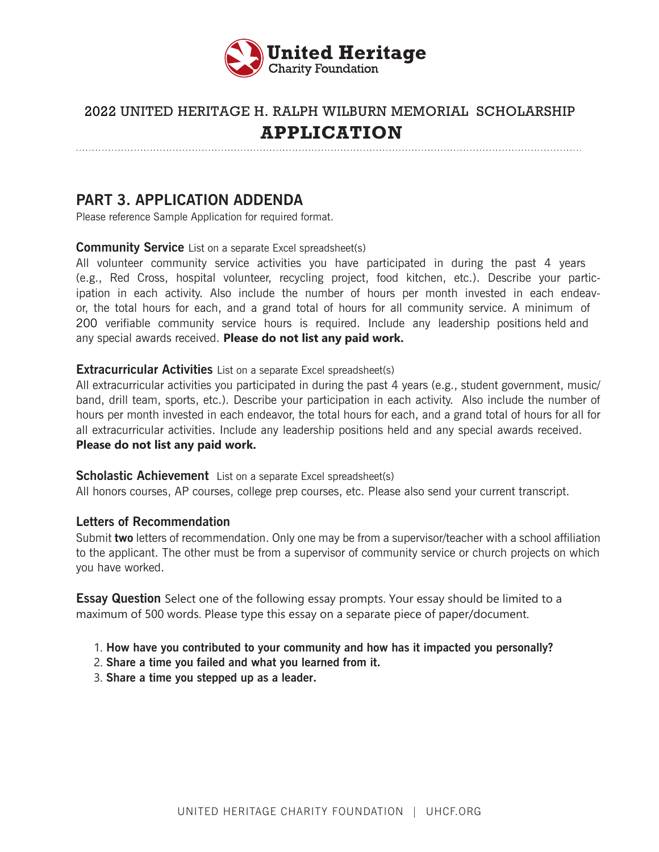

### **PART 3. APPLICATION ADDENDA**

Please reference Sample Application for required format.

**Community Service** List on a separate Excel spreadsheet(s)

All volunteer community service activities you have participated in during the past 4 years (e.g., Red Cross, hospital volunteer, recycling project, food kitchen, etc.). Describe your participation in each activity. Also include the number of hours per month invested in each endeavor, the total hours for each, and a grand total of hours for all community service. A minimum of 200 verifiable community service hours is required. Include any leadership positions held and any special awards received. **Please do not list any paid work.** 

#### **Extracurricular Activities** List on a separate Excel spreadsheet(s)

All extracurricular activities you participated in during the past 4 years (e.g., student government, music/ band, drill team, sports, etc.). Describe your participation in each activity. Also include the number of hours per month invested in each endeavor, the total hours for each, and a grand total of hours for all for all extracurricular activities. Include any leadership positions held and any special awards received. **Please do not list any paid work.** 

#### **Scholastic Achievement** List on a separate Excel spreadsheet(s)

All honors courses, AP courses, college prep courses, etc. Please also send your current transcript.

#### **Letters of Recommendation**

Submit **two** letters of recommendation. Only one may be from a supervisor/teacher with a school affiliation to the applicant. The other must be from a supervisor of community service or church projects on which you have worked.

**Essay Question** Select one of the following essay prompts. Your essay should be limited to a maximum of 500 words. Please type this essay on a separate piece of paper/document.

- 1. **How have you contributed to your community and how has it impacted you personally?**
- 2. **Share a time you failed and what you learned from it.**
- 3. **Share a time you stepped up as a leader.**